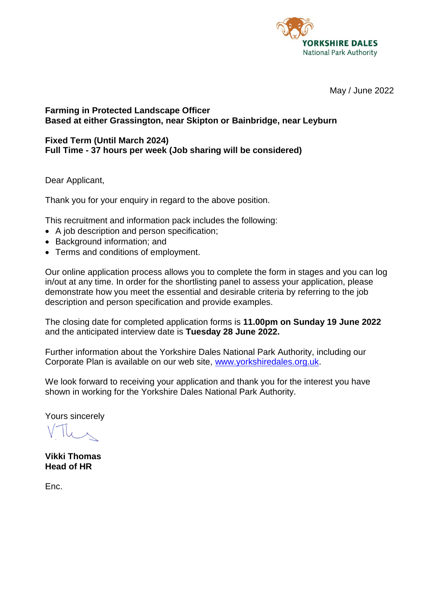

May / June 2022

### **Farming in Protected Landscape Officer Based at either Grassington, near Skipton or Bainbridge, near Leyburn**

#### **Fixed Term (Until March 2024) Full Time - 37 hours per week (Job sharing will be considered)**

Dear Applicant,

Thank you for your enquiry in regard to the above position.

This recruitment and information pack includes the following:

- A job description and person specification;
- Background information; and
- Terms and conditions of employment.

Our online application process allows you to complete the form in stages and you can log in/out at any time. In order for the shortlisting panel to assess your application, please demonstrate how you meet the essential and desirable criteria by referring to the job description and person specification and provide examples.

The closing date for completed application forms is **11.00pm on Sunday 19 June 2022** and the anticipated interview date is **Tuesday 28 June 2022.**

Further information about the Yorkshire Dales National Park Authority, including our Corporate Plan is available on our web site, [www.yorkshiredales.org.uk.](http://www.yorkshiredales.org.uk/)

We look forward to receiving your application and thank you for the interest you have shown in working for the Yorkshire Dales National Park Authority.

Yours sincerely

**Vikki Thomas Head of HR**

Enc.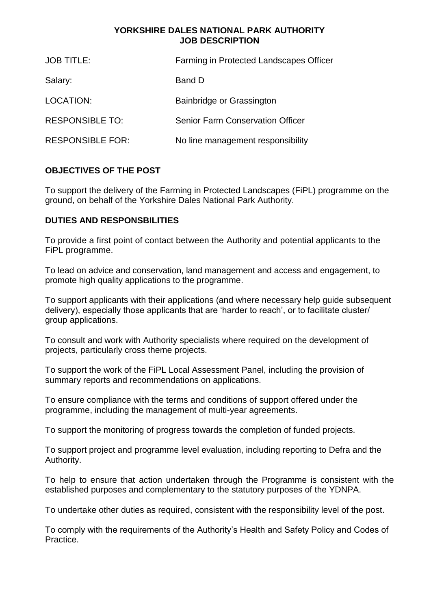#### **YORKSHIRE DALES NATIONAL PARK AUTHORITY JOB DESCRIPTION**

| <b>JOB TITLE:</b>       | <b>Farming in Protected Landscapes Officer</b> |
|-------------------------|------------------------------------------------|
| Salary:                 | Band D                                         |
| LOCATION:               | Bainbridge or Grassington                      |
| <b>RESPONSIBLE TO:</b>  | <b>Senior Farm Conservation Officer</b>        |
| <b>RESPONSIBLE FOR:</b> | No line management responsibility              |

# **OBJECTIVES OF THE POST**

To support the delivery of the Farming in Protected Landscapes (FiPL) programme on the ground, on behalf of the Yorkshire Dales National Park Authority.

# **DUTIES AND RESPONSBILITIES**

To provide a first point of contact between the Authority and potential applicants to the FiPL programme.

To lead on advice and conservation, land management and access and engagement, to promote high quality applications to the programme.

To support applicants with their applications (and where necessary help guide subsequent delivery), especially those applicants that are 'harder to reach', or to facilitate cluster/ group applications.

To consult and work with Authority specialists where required on the development of projects, particularly cross theme projects.

To support the work of the FiPL Local Assessment Panel, including the provision of summary reports and recommendations on applications.

To ensure compliance with the terms and conditions of support offered under the programme, including the management of multi-year agreements.

To support the monitoring of progress towards the completion of funded projects.

To support project and programme level evaluation, including reporting to Defra and the Authority.

To help to ensure that action undertaken through the Programme is consistent with the established purposes and complementary to the statutory purposes of the YDNPA.

To undertake other duties as required, consistent with the responsibility level of the post.

To comply with the requirements of the Authority's Health and Safety Policy and Codes of Practice.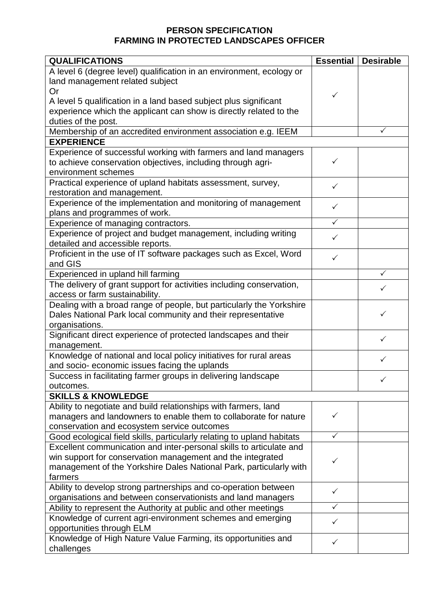# **PERSON SPECIFICATION FARMING IN PROTECTED LANDSCAPES OFFICER**

| <b>QUALIFICATIONS</b>                                                  | <b>Essential</b> | <b>Desirable</b> |
|------------------------------------------------------------------------|------------------|------------------|
| A level 6 (degree level) qualification in an environment, ecology or   |                  |                  |
| land management related subject                                        |                  |                  |
| Or                                                                     | ✓                |                  |
| A level 5 qualification in a land based subject plus significant       |                  |                  |
| experience which the applicant can show is directly related to the     |                  |                  |
| duties of the post.                                                    |                  |                  |
| Membership of an accredited environment association e.g. IEEM          |                  | ✓                |
| <b>EXPERIENCE</b>                                                      |                  |                  |
| Experience of successful working with farmers and land managers        |                  |                  |
| to achieve conservation objectives, including through agri-            | ✓                |                  |
| environment schemes                                                    |                  |                  |
| Practical experience of upland habitats assessment, survey,            | $\checkmark$     |                  |
| restoration and management.                                            |                  |                  |
| Experience of the implementation and monitoring of management          | $\checkmark$     |                  |
| plans and programmes of work.                                          |                  |                  |
| Experience of managing contractors.                                    | $\checkmark$     |                  |
| Experience of project and budget management, including writing         |                  |                  |
| detailed and accessible reports.                                       | $\checkmark$     |                  |
| Proficient in the use of IT software packages such as Excel, Word      |                  |                  |
| and GIS                                                                | ✓                |                  |
| Experienced in upland hill farming                                     |                  | $\checkmark$     |
| The delivery of grant support for activities including conservation,   |                  |                  |
| access or farm sustainability.                                         |                  | $\checkmark$     |
| Dealing with a broad range of people, but particularly the Yorkshire   |                  |                  |
| Dales National Park local community and their representative           |                  | ✓                |
| organisations.                                                         |                  |                  |
| Significant direct experience of protected landscapes and their        |                  |                  |
| management.                                                            |                  | $\checkmark$     |
| Knowledge of national and local policy initiatives for rural areas     |                  |                  |
| and socio- economic issues facing the uplands                          |                  | ✓                |
| Success in facilitating farmer groups in delivering landscape          |                  |                  |
| outcomes.                                                              |                  |                  |
| <b>SKILLS &amp; KNOWLEDGE</b>                                          |                  |                  |
| Ability to negotiate and build relationships with farmers, land        |                  |                  |
| managers and landowners to enable them to collaborate for nature       | ✓                |                  |
| conservation and ecosystem service outcomes                            |                  |                  |
| Good ecological field skills, particularly relating to upland habitats | $\checkmark$     |                  |
| Excellent communication and inter-personal skills to articulate and    |                  |                  |
| win support for conservation management and the integrated             |                  |                  |
| management of the Yorkshire Dales National Park, particularly with     | ✓                |                  |
| farmers                                                                |                  |                  |
| Ability to develop strong partnerships and co-operation between        |                  |                  |
| organisations and between conservationists and land managers           | $\checkmark$     |                  |
| Ability to represent the Authority at public and other meetings        |                  |                  |
| Knowledge of current agri-environment schemes and emerging             |                  |                  |
| opportunities through ELM                                              | ✓                |                  |
| Knowledge of High Nature Value Farming, its opportunities and          |                  |                  |
| challenges                                                             | ✓                |                  |
|                                                                        |                  |                  |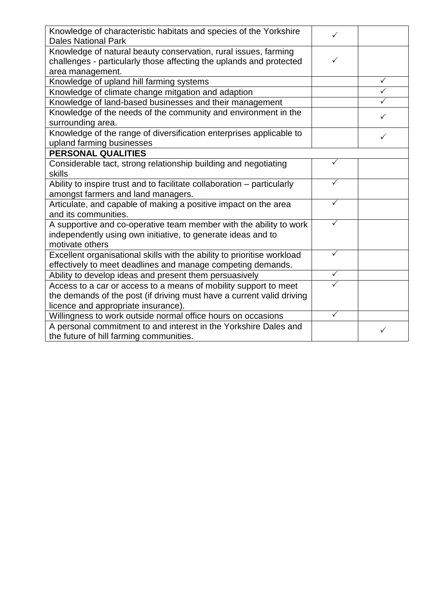| Knowledge of characteristic habitats and species of the Yorkshire<br><b>Dales National Park</b>                                                            |              |   |
|------------------------------------------------------------------------------------------------------------------------------------------------------------|--------------|---|
| Knowledge of natural beauty conservation, rural issues, farming<br>challenges - particularly those affecting the uplands and protected<br>area management. | ✓            |   |
| Knowledge of upland hill farming systems                                                                                                                   |              | ✓ |
| Knowledge of climate change mitgation and adaption                                                                                                         |              |   |
| Knowledge of land-based businesses and their management                                                                                                    |              |   |
| Knowledge of the needs of the community and environment in the                                                                                             |              | ✓ |
| surrounding area.                                                                                                                                          |              |   |
| Knowledge of the range of diversification enterprises applicable to<br>upland farming businesses                                                           |              | ✓ |
| <b>PERSONAL QUALITIES</b>                                                                                                                                  |              |   |
| Considerable tact, strong relationship building and negotiating<br>skills                                                                                  | ✓            |   |
| Ability to inspire trust and to facilitate collaboration - particularly<br>amongst farmers and land managers.                                              | ✓            |   |
| Articulate, and capable of making a positive impact on the area<br>and its communities.                                                                    | ✓            |   |
| A supportive and co-operative team member with the ability to work<br>independently using own initiative, to generate ideas and to<br>motivate others      |              |   |
| Excellent organisational skills with the ability to prioritise workload<br>effectively to meet deadlines and manage competing demands.                     | $\checkmark$ |   |
| Ability to develop ideas and present them persuasively                                                                                                     | $\checkmark$ |   |
| Access to a car or access to a means of mobility support to meet                                                                                           |              |   |
| the demands of the post (if driving must have a current valid driving<br>licence and appropriate insurance).                                               |              |   |
| Willingness to work outside normal office hours on occasions                                                                                               | ✓            |   |
| A personal commitment to and interest in the Yorkshire Dales and<br>the future of hill farming communities.                                                |              |   |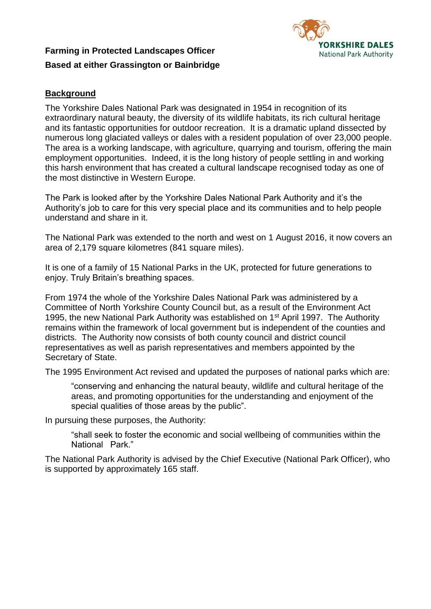# **Farming in Protected Landscapes Officer Based at either Grassington or Bainbridge**



# **Background**

The Yorkshire Dales National Park was designated in 1954 in recognition of its extraordinary natural beauty, the diversity of its wildlife habitats, its rich cultural heritage and its fantastic opportunities for outdoor recreation. It is a dramatic upland dissected by numerous long glaciated valleys or dales with a resident population of over 23,000 people. The area is a working landscape, with agriculture, quarrying and tourism, offering the main employment opportunities. Indeed, it is the long history of people settling in and working this harsh environment that has created a cultural landscape recognised today as one of the most distinctive in Western Europe.

The Park is looked after by the Yorkshire Dales National Park Authority and it's the Authority's job to care for this very special place and its communities and to help people understand and share in it.

The National Park was extended to the north and west on 1 August 2016, it now covers an area of 2,179 square kilometres (841 square miles).

It is one of a family of 15 National Parks in the UK, protected for future generations to enjoy. Truly Britain's breathing spaces.

From 1974 the whole of the Yorkshire Dales National Park was administered by a Committee of North Yorkshire County Council but, as a result of the Environment Act 1995, the new National Park Authority was established on 1<sup>st</sup> April 1997. The Authority remains within the framework of local government but is independent of the counties and districts. The Authority now consists of both county council and district council representatives as well as parish representatives and members appointed by the Secretary of State.

The 1995 Environment Act revised and updated the purposes of national parks which are:

"conserving and enhancing the natural beauty, wildlife and cultural heritage of the areas, and promoting opportunities for the understanding and enjoyment of the special qualities of those areas by the public".

In pursuing these purposes, the Authority:

"shall seek to foster the economic and social wellbeing of communities within the National Park."

The National Park Authority is advised by the Chief Executive (National Park Officer), who is supported by approximately 165 staff.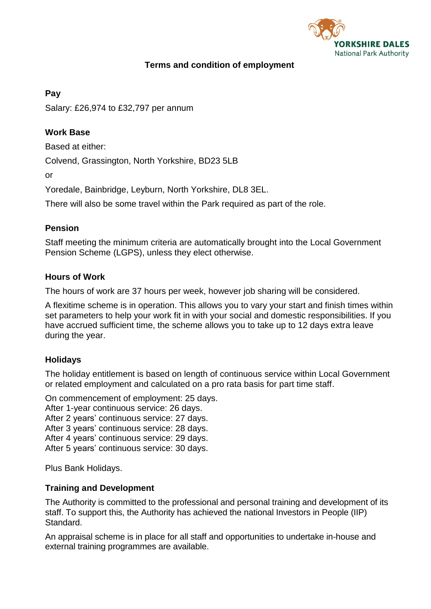

## **Terms and condition of employment**

### **Pay**

Salary: £26,974 to £32,797 per annum

## **Work Base**

Based at either:

Colvend, Grassington, North Yorkshire, BD23 5LB

or

Yoredale, Bainbridge, Leyburn, North Yorkshire, DL8 3EL.

There will also be some travel within the Park required as part of the role.

#### **Pension**

Staff meeting the minimum criteria are automatically brought into the Local Government Pension Scheme (LGPS), unless they elect otherwise.

#### **Hours of Work**

The hours of work are 37 hours per week, however job sharing will be considered.

A flexitime scheme is in operation. This allows you to vary your start and finish times within set parameters to help your work fit in with your social and domestic responsibilities. If you have accrued sufficient time, the scheme allows you to take up to 12 days extra leave during the year.

## **Holidays**

The holiday entitlement is based on length of continuous service within Local Government or related employment and calculated on a pro rata basis for part time staff.

On commencement of employment: 25 days.

After 1-year continuous service: 26 days.

After 2 years' continuous service: 27 days.

After 3 years' continuous service: 28 days.

After 4 years' continuous service: 29 days.

After 5 years' continuous service: 30 days.

Plus Bank Holidays.

#### **Training and Development**

The Authority is committed to the professional and personal training and development of its staff. To support this, the Authority has achieved the national Investors in People (IIP) Standard.

An appraisal scheme is in place for all staff and opportunities to undertake in-house and external training programmes are available.